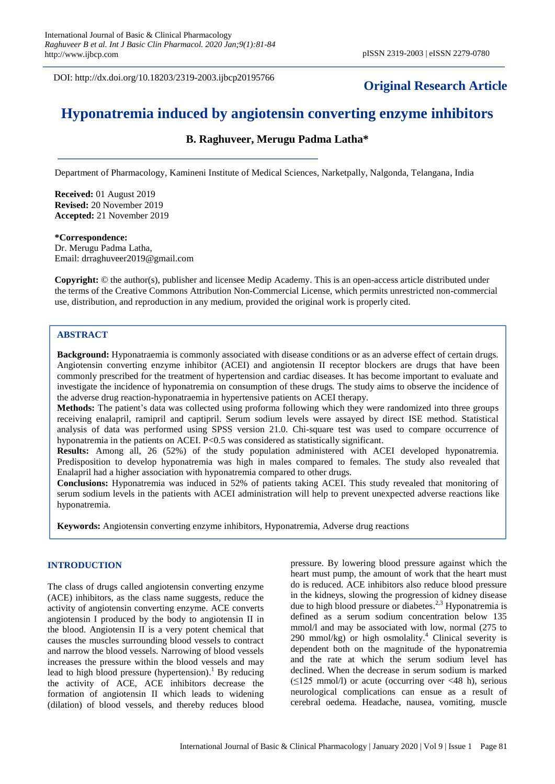DOI: http://dx.doi.org/10.18203/2319-2003.ijbcp20195766

## **Original Research Article**

# **Hyponatremia induced by angiotensin converting enzyme inhibitors**

## **B. Raghuveer, Merugu Padma Latha\***

Department of Pharmacology, Kamineni Institute of Medical Sciences, Narketpally, Nalgonda, Telangana, India

**Received:** 01 August 2019 **Revised:** 20 November 2019 **Accepted:** 21 November 2019

#### **\*Correspondence:**

Dr. Merugu Padma Latha, Email: drraghuveer2019@gmail.com

**Copyright:** © the author(s), publisher and licensee Medip Academy. This is an open-access article distributed under the terms of the Creative Commons Attribution Non-Commercial License, which permits unrestricted non-commercial use, distribution, and reproduction in any medium, provided the original work is properly cited.

## **ABSTRACT**

**Background:** Hyponatraemia is commonly associated with disease conditions or as an adverse effect of certain drugs. Angiotensin converting enzyme inhibitor (ACEI) and angiotensin II receptor blockers are drugs that have been commonly prescribed for the treatment of hypertension and cardiac diseases. It has become important to evaluate and investigate the incidence of hyponatremia on consumption of these drugs. The study aims to observe the incidence of the adverse drug reaction-hyponatraemia in hypertensive patients on ACEI therapy.

**Methods:** The patient's data was collected using proforma following which they were randomized into three groups receiving enalapril, ramipril and captipril. Serum sodium levels were assayed by direct ISE method. Statistical analysis of data was performed using SPSS version 21.0. Chi-square test was used to compare occurrence of hyponatremia in the patients on ACEI.  $P \le 0.5$  was considered as statistically significant.

**Results:** Among all, 26 (52%) of the study population administered with ACEI developed hyponatremia. Predisposition to develop hyponatremia was high in males compared to females. The study also revealed that Enalapril had a higher association with hyponatremia compared to other drugs.

**Conclusions:** Hyponatremia was induced in 52% of patients taking ACEI. This study revealed that monitoring of serum sodium levels in the patients with ACEI administration will help to prevent unexpected adverse reactions like hyponatremia.

**Keywords:** Angiotensin converting enzyme inhibitors, Hyponatremia, Adverse drug reactions

## **INTRODUCTION**

The class of drugs called angiotensin converting enzyme (ACE) inhibitors, as the class name suggests, reduce the activity of angiotensin converting enzyme. ACE converts angiotensin I produced by the body to angiotensin II in the blood. Angiotensin II is a very potent chemical that causes the muscles surrounding blood vessels to contract and narrow the blood vessels. Narrowing of blood vessels increases the pressure within the blood vessels and may lead to high blood pressure (hypertension).<sup>1</sup> By reducing the activity of ACE, ACE inhibitors decrease the formation of angiotensin II which leads to widening (dilation) of blood vessels, and thereby reduces blood

pressure. By lowering blood pressure against which the heart must pump, the amount of work that the heart must do is reduced. ACE inhibitors also reduce blood pressure in the kidneys, slowing the progression of kidney disease due to high blood pressure or diabetes.<sup>2,3</sup> Hyponatremia is defined as a serum sodium concentration below 135 mmol/l and may be associated with low, normal (275 to 290 mmol/kg) or high osmolality. <sup>4</sup> Clinical severity is dependent both on the magnitude of the hyponatremia and the rate at which the serum sodium level has declined. When the decrease in serum sodium is marked  $(\leq 125 \text{ mmol/l})$  or acute (occurring over  $\leq 48 \text{ h}$ ), serious neurological complications can ensue as a result of cerebral oedema. Headache, nausea, vomiting, muscle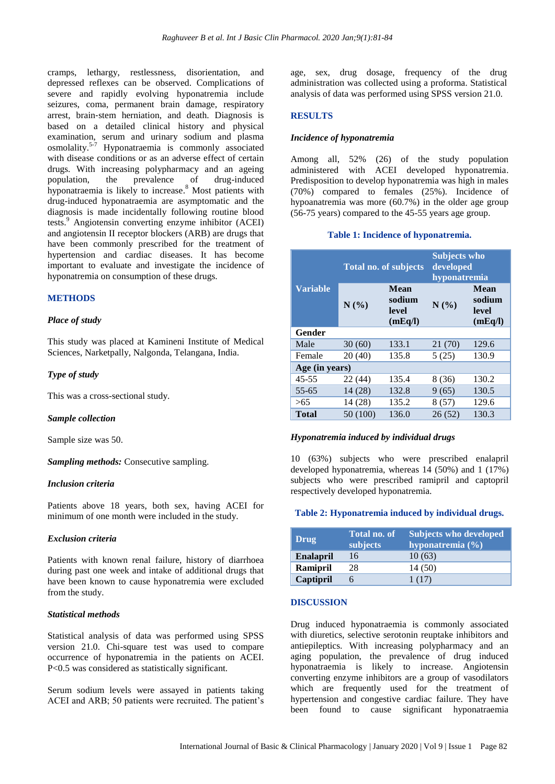cramps, lethargy, restlessness, disorientation, and depressed reflexes can be observed. Complications of severe and rapidly evolving hyponatremia include seizures, coma, permanent brain damage, respiratory arrest, brain‐stem herniation, and death. Diagnosis is based on a detailed clinical history and physical examination, serum and urinary sodium and plasma osmolality. 5-7 Hyponatraemia is commonly associated with disease conditions or as an adverse effect of certain drugs. With increasing polypharmacy and an ageing population, the prevalence of drug-induced hyponatraemia is likely to increase. <sup>8</sup> Most patients with drug-induced hyponatraemia are asymptomatic and the diagnosis is made incidentally following routine blood tests. <sup>9</sup> Angiotensin converting enzyme inhibitor (ACEI) and angiotensin II receptor blockers (ARB) are drugs that have been commonly prescribed for the treatment of hypertension and cardiac diseases. It has become important to evaluate and investigate the incidence of hyponatremia on consumption of these drugs.

## **METHODS**

## *Place of study*

This study was placed at Kamineni Institute of Medical Sciences, Narketpally, Nalgonda, Telangana, India.

## *Type of study*

This was a cross-sectional study.

#### *Sample collection*

Sample size was 50.

*Sampling methods:* Consecutive sampling.

## *Inclusion criteria*

Patients above 18 years, both sex, having ACEI for minimum of one month were included in the study.

## *Exclusion criteria*

Patients with known renal failure, history of diarrhoea during past one week and intake of additional drugs that have been known to cause hyponatremia were excluded from the study.

#### *Statistical methods*

Statistical analysis of data was performed using SPSS version 21.0. Chi-square test was used to compare occurrence of hyponatremia in the patients on ACEI. P<0.5 was considered as statistically significant.

Serum sodium levels were assayed in patients taking ACEI and ARB; 50 patients were recruited. The patient's

age, sex, drug dosage, frequency of the drug administration was collected using a proforma. Statistical analysis of data was performed using SPSS version 21.0.

## **RESULTS**

#### *Incidence of hyponatremia*

Among all, 52% (26) of the study population administered with ACEI developed hyponatremia. Predisposition to develop hyponatremia was high in males (70%) compared to females (25%). Incidence of hypoanatremia was more (60.7%) in the older age group (56-75 years) compared to the 45-55 years age group.

#### **Table 1: Incidence of hyponatremia.**

|                 | <b>Total no. of subjects</b> |                                    | <b>Subjects who</b><br>developed<br>hyponatremia |                                           |  |
|-----------------|------------------------------|------------------------------------|--------------------------------------------------|-------------------------------------------|--|
| <b>Variable</b> | N(%)                         | Mean<br>sodium<br>level<br>(mEq/I) | N(%)                                             | <b>Mean</b><br>sodium<br>level<br>(mEq/I) |  |
| Gender          |                              |                                    |                                                  |                                           |  |
| Male            | 30(60)                       | 133.1                              | 21 (70)                                          | 129.6                                     |  |
| Female          | 20(40)                       | 135.8                              | 5(25)                                            | 130.9                                     |  |
| Age (in years)  |                              |                                    |                                                  |                                           |  |
| $45 - 55$       | 22 (44)                      | 135.4                              | 8 (36)                                           | 130.2                                     |  |
| $55 - 65$       | 14(28)                       | 132.8                              | 9(65)                                            | 130.5                                     |  |
| >65             | 14(28)                       | 135.2                              | 8(57)                                            | 129.6                                     |  |
| <b>Total</b>    | 50 (100)                     | 136.0                              | 26(52)                                           | 130.3                                     |  |

#### *Hyponatremia induced by individual drugs*

10 (63%) subjects who were prescribed enalapril developed hyponatremia, whereas 14 (50%) and 1 (17%) subjects who were prescribed ramipril and captopril respectively developed hyponatremia.

#### **Table 2: Hyponatremia induced by individual drugs.**

| Drug             | <b>Total no. of</b><br>subjects | <b>Subjects who developed</b><br>hyponatremia $(\% )$ |
|------------------|---------------------------------|-------------------------------------------------------|
| <b>Enalapril</b> | 16                              | 10(63)                                                |
| Ramipril         | 28                              | 14 (50)                                               |
| Captipril        |                                 | 1(17)                                                 |

#### **DISCUSSION**

Drug induced hyponatraemia is commonly associated with diuretics, selective serotonin reuptake inhibitors and antiepileptics. With increasing polypharmacy and an aging population, the prevalence of drug induced hyponatraemia is likely to increase. Angiotensin converting enzyme inhibitors are a group of vasodilators which are frequently used for the treatment of hypertension and congestive cardiac failure. They have been found to cause significant hyponatraemia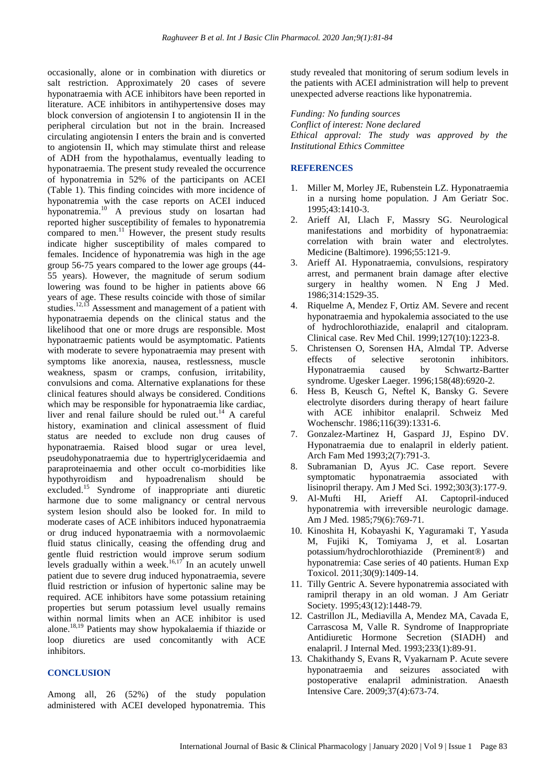occasionally, alone or in combination with diuretics or salt restriction. Approximately 20 cases of severe hyponatraemia with ACE inhibitors have been reported in literature. ACE inhibitors in antihypertensive doses may block conversion of angiotensin I to angiotensin II in the peripheral circulation but not in the brain. Increased circulating angiotensin I enters the brain and is converted to angiotensin II, which may stimulate thirst and release of ADH from the hypothalamus, eventually leading to hyponatraemia. The present study revealed the occurrence of hyponatremia in 52% of the participants on ACEI (Table 1). This finding coincides with more incidence of hyponatremia with the case reports on ACEI induced hyponatremia. <sup>10</sup> A previous study on losartan had reported higher susceptibility of females to hyponatremia compared to men.<sup>11</sup> However, the present study results indicate higher susceptibility of males compared to females. Incidence of hyponatremia was high in the age group 56-75 years compared to the lower age groups (44- 55 years). However, the magnitude of serum sodium lowering was found to be higher in patients above 66 years of age. These results coincide with those of similar studies.<sup>12,13</sup> Assessment and management of a patient with hyponatraemia depends on the clinical status and the likelihood that one or more drugs are responsible. Most hyponatraemic patients would be asymptomatic. Patients with moderate to severe hyponatraemia may present with symptoms like anorexia, nausea, restlessness, muscle weakness, spasm or cramps, confusion, irritability, convulsions and coma. Alternative explanations for these clinical features should always be considered. Conditions which may be responsible for hyponatraemia like cardiac, liver and renal failure should be ruled out. <sup>14</sup> A careful history, examination and clinical assessment of fluid status are needed to exclude non drug causes of hyponatraemia. Raised blood sugar or urea level, pseudohyponatraemia due to hypertriglyceridaemia and paraproteinaemia and other occult co-morbidities like hypothyroidism and hypoadrenalism should be excluded. <sup>15</sup> Syndrome of inappropriate anti diuretic harmone due to some malignancy or central nervous system lesion should also be looked for. In mild to moderate cases of ACE inhibitors induced hyponatraemia or drug induced hyponatraemia with a normovolaemic fluid status clinically, ceasing the offending drug and gentle fluid restriction would improve serum sodium levels gradually within a week.<sup>16,17</sup> In an acutely unwell patient due to severe drug induced hyponatraemia, severe fluid restriction or infusion of hypertonic saline may be required. ACE inhibitors have some potassium retaining properties but serum potassium level usually remains within normal limits when an ACE inhibitor is used alone. 18,19 Patients may show hypokalaemia if thiazide or loop diuretics are used concomitantly with ACE inhibitors.

## **CONCLUSION**

Among all, 26 (52%) of the study population administered with ACEI developed hyponatremia. This

study revealed that monitoring of serum sodium levels in the patients with ACEI administration will help to prevent unexpected adverse reactions like hyponatremia.

*Funding: No funding sources*

*Conflict of interest: None declared Ethical approval: The study was approved by the Institutional Ethics Committee*

#### **REFERENCES**

- 1. Miller M, Morley JE, Rubenstein LZ. Hyponatraemia in a nursing home population. J Am Geriatr Soc. 1995;43:1410-3.
- 2. Arieff AI, Llach F, Massry SG. Neurological manifestations and morbidity of hyponatraemia: correlation with brain water and electrolytes. Medicine (Baltimore). 1996;55:121-9.
- 3. Arieff AI. Hyponatraemia, convulsions, respiratory arrest, and permanent brain damage after elective surgery in healthy women. N Eng J Med. 1986;314:1529-35.
- 4. Riquelme A, Mendez F, Ortiz AM. Severe and recent hyponatraemia and hypokalemia associated to the use of hydrochlorothiazide, enalapril and citalopram. Clinical case. Rev Med Chil. 1999;127(10):1223-8.
- 5. Christensen O, Sorensen HA, Almdal TP. Adverse effects of selective serotonin inhibitors. Hyponatraemia caused by Schwartz-Bartter syndrome. Ugesker Laeger. 1996;158(48):6920-2.
- 6. Hess B, Keusch G, Neftel K, Bansky G. Severe electrolyte disorders during therapy of heart failure with ACE inhibitor enalapril. Schweiz Med Wochenschr. 1986;116(39):1331-6.
- 7. Gonzalez-Martinez H, Gaspard JJ, Espino DV. Hyponatraemia due to enalapril in elderly patient. Arch Fam Med 1993;2(7):791-3.
- 8. Subramanian D, Ayus JC. Case report. Severe symptomatic hyponatraemia associated with lisinopril therapy. Am J Med Sci. 1992;303(3):177-9.
- 9. Al-Mufti HI, Arieff AI. Captopril-induced hyponatremia with irreversible neurologic damage. Am J Med. 1985;79(6):769-71.
- 10. Kinoshita H, Kobayashi K, Yaguramaki T, Yasuda M, Fujiki K, Tomiyama J, et al. Losartan potassium/hydrochlorothiazide (Preminent®) and hyponatremia: Case series of 40 patients. Human Exp Toxicol. 2011;30(9):1409-14.
- 11. Tilly Gentric A. Severe hyponatremia associated with ramipril therapy in an old woman. J Am Geriatr Society. 1995;43(12):1448-79.
- 12. Castrillon JL, Mediavilla A, Mendez MA, Cavada E, Carrascosa M, Valle R. Syndrome of Inappropriate Antidiuretic Hormone Secretion (SIADH) and enalapril. J Internal Med. 1993;233(1):89-91.
- 13. Chakithandy S, Evans R, Vyakarnam P. Acute severe hyponatraemia and seizures associated with postoperative enalapril administration. Anaesth Intensive Care. 2009;37(4):673-74.